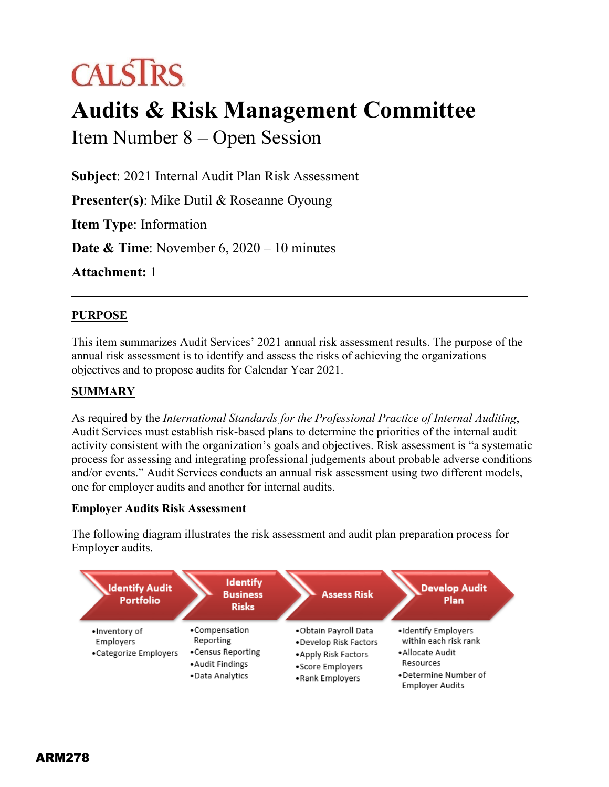# **CALSTRS**

## **Audits & Risk Management Committee**

Item Number 8 – Open Session

**Subject**: 2021 Internal Audit Plan Risk Assessment

**Presenter(s)**: Mike Dutil & Roseanne Oyoung

**Item Type**: Information

**Date & Time**: November 6, 2020 – 10 minutes

**Attachment:** 1

### **PURPOSE**

This item summarizes Audit Services' 2021 annual risk assessment results. The purpose of the annual risk assessment is to identify and assess the risks of achieving the organizations objectives and to propose audits for Calendar Year 2021.

#### **SUMMARY**

As required by the *International Standards for the Professional Practice of Internal Auditing*, Audit Services must establish risk-based plans to determine the priorities of the internal audit activity consistent with the organization's goals and objectives. Risk assessment is "a systematic process for assessing and integrating professional judgements about probable adverse conditions and/or events." Audit Services conducts an annual risk assessment using two different models, one for employer audits and another for internal audits.

#### **Employer Audits Risk Assessment**

The following diagram illustrates the risk assessment and audit plan preparation process for Employer audits.

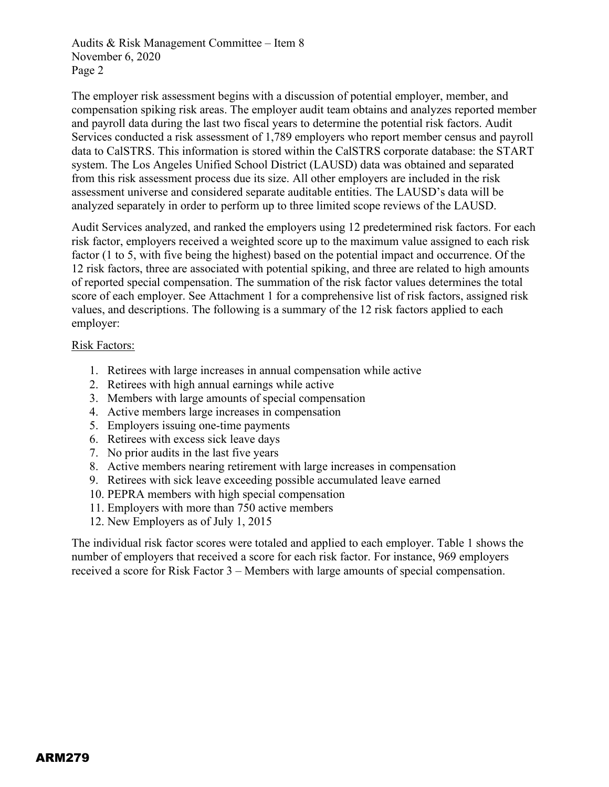The employer risk assessment begins with a discussion of potential employer, member, and compensation spiking risk areas. The employer audit team obtains and analyzes reported member and payroll data during the last two fiscal years to determine the potential risk factors. Audit Services conducted a risk assessment of 1,789 employers who report member census and payroll data to CalSTRS. This information is stored within the CalSTRS corporate database: the START system. The Los Angeles Unified School District (LAUSD) data was obtained and separated from this risk assessment process due its size. All other employers are included in the risk assessment universe and considered separate auditable entities. The LAUSD's data will be analyzed separately in order to perform up to three limited scope reviews of the LAUSD.

Audit Services analyzed, and ranked the employers using 12 predetermined risk factors. For each risk factor, employers received a weighted score up to the maximum value assigned to each risk factor (1 to 5, with five being the highest) based on the potential impact and occurrence. Of the 12 risk factors, three are associated with potential spiking, and three are related to high amounts of reported special compensation. The summation of the risk factor values determines the total score of each employer. See Attachment 1 for a comprehensive list of risk factors, assigned risk values, and descriptions. The following is a summary of the 12 risk factors applied to each employer:

#### Risk Factors:

- 1. Retirees with large increases in annual compensation while active
- 2. Retirees with high annual earnings while active
- 3. Members with large amounts of special compensation
- 4. Active members large increases in compensation
- 5. Employers issuing one-time payments
- 6. Retirees with excess sick leave days
- 7. No prior audits in the last five years
- 8. Active members nearing retirement with large increases in compensation
- 9. Retirees with sick leave exceeding possible accumulated leave earned
- 10. PEPRA members with high special compensation
- 11. Employers with more than 750 active members
- 12. New Employers as of July 1, 2015

The individual risk factor scores were totaled and applied to each employer. Table 1 shows the number of employers that received a score for each risk factor. For instance, 969 employers received a score for Risk Factor 3 – Members with large amounts of special compensation.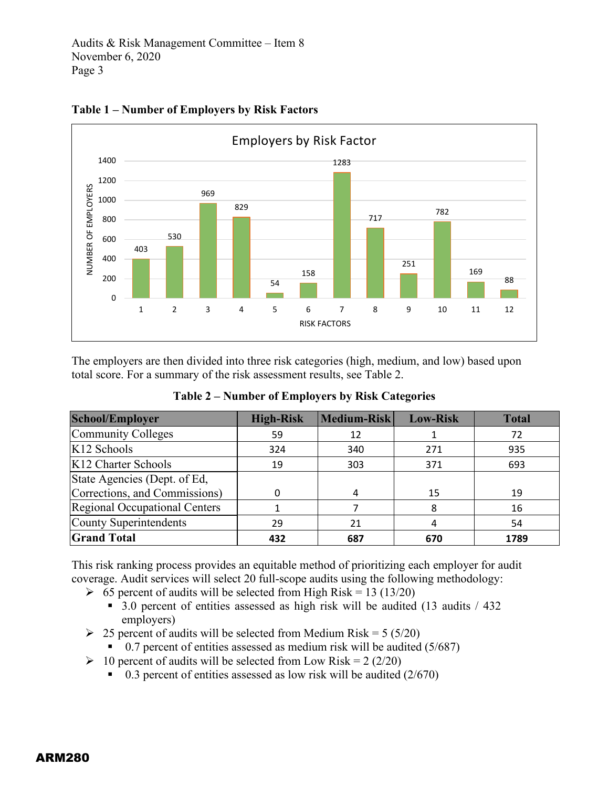

**Table 1 – Number of Employers by Risk Factors**

The employers are then divided into three risk categories (high, medium, and low) based upon total score. For a summary of the risk assessment results, see Table 2.

| <b>School/Employer</b>        | <b>High-Risk</b> | Medium-Risk | <b>Low-Risk</b> | <b>Total</b> |
|-------------------------------|------------------|-------------|-----------------|--------------|
| Community Colleges            | 59               | 12          |                 | 72           |
| K12 Schools                   | 324              | 340         | 271             | 935          |
| K12 Charter Schools           | 19               | 303         | 371             | 693          |
| State Agencies (Dept. of Ed.  |                  |             |                 |              |
| Corrections, and Commissions) |                  |             | 15              | 19           |
| Regional Occupational Centers |                  |             |                 | 16           |
| County Superintendents<br>29  |                  | 21          |                 | 54           |
| <b>Grand Total</b>            | 432              | 687         | 670             | 1789         |

**Table 2 – Number of Employers by Risk Categories**

This risk ranking process provides an equitable method of prioritizing each employer for audit coverage. Audit services will select 20 full-scope audits using the following methodology:

- $\geq 65$  percent of audits will be selected from High Risk = 13 (13/20)
	- 3.0 percent of entities assessed as high risk will be audited (13 audits / 432 employers)
- $\geq$  25 percent of audits will be selected from Medium Risk = 5 (5/20)
	- $\blacksquare$  0.7 percent of entities assessed as medium risk will be audited (5/687)
- $\geq 10$  percent of audits will be selected from Low Risk = 2 (2/20)
	- $\bullet$  0.3 percent of entities assessed as low risk will be audited (2/670)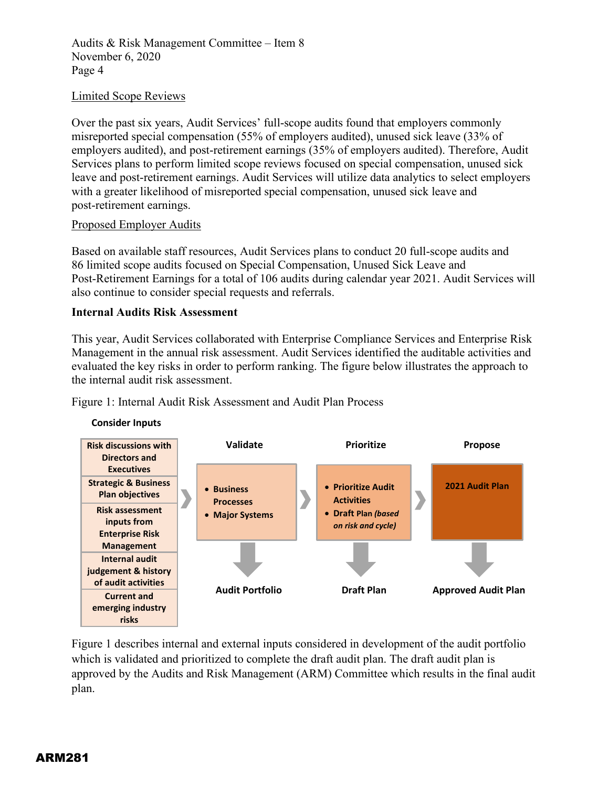#### Limited Scope Reviews

Over the past six years, Audit Services' full-scope audits found that employers commonly misreported special compensation (55% of employers audited), unused sick leave (33% of employers audited), and post-retirement earnings (35% of employers audited). Therefore, Audit Services plans to perform limited scope reviews focused on special compensation, unused sick leave and post-retirement earnings. Audit Services will utilize data analytics to select employers with a greater likelihood of misreported special compensation, unused sick leave and post-retirement earnings.

#### Proposed Employer Audits

Based on available staff resources, Audit Services plans to conduct 20 full-scope audits and 86 limited scope audits focused on Special Compensation, Unused Sick Leave and Post-Retirement Earnings for a total of 106 audits during calendar year 2021. Audit Services will also continue to consider special requests and referrals.

#### **Internal Audits Risk Assessment**

This year, Audit Services collaborated with Enterprise Compliance Services and Enterprise Risk Management in the annual risk assessment. Audit Services identified the auditable activities and evaluated the key risks in order to perform ranking. The figure below illustrates the approach to the internal audit risk assessment.

Figure 1: Internal Audit Risk Assessment and Audit Plan Process



Figure 1 describes internal and external inputs considered in development of the audit portfolio which is validated and prioritized to complete the draft audit plan. The draft audit plan is approved by the Audits and Risk Management (ARM) Committee which results in the final audit plan.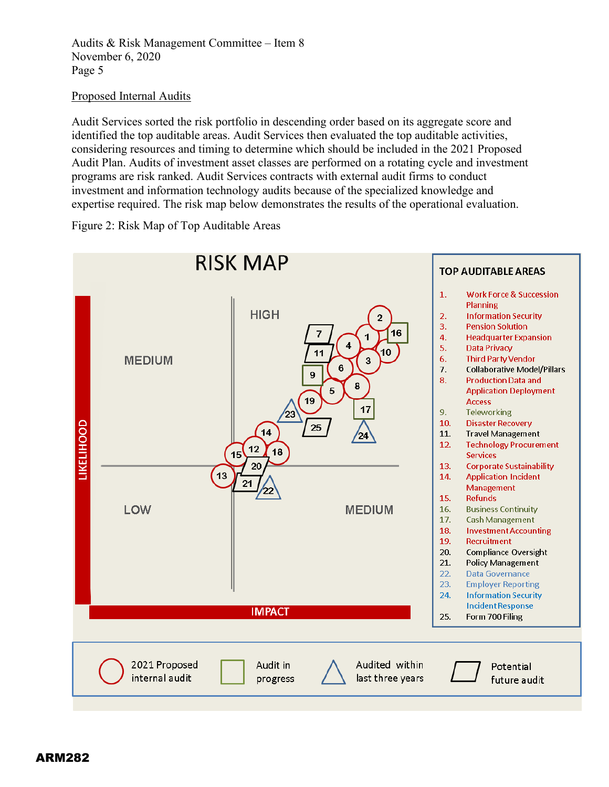#### Proposed Internal Audits

Audit Services sorted the risk portfolio in descending order based on its aggregate score and identified the top auditable areas. Audit Services then evaluated the top auditable activities, considering resources and timing to determine which should be included in the 2021 Proposed Audit Plan. Audits of investment asset classes are performed on a rotating cycle and investment programs are risk ranked. Audit Services contracts with external audit firms to conduct investment and information technology audits because of the specialized knowledge and expertise required. The risk map below demonstrates the results of the operational evaluation.

Figure 2: Risk Map of Top Auditable Areas

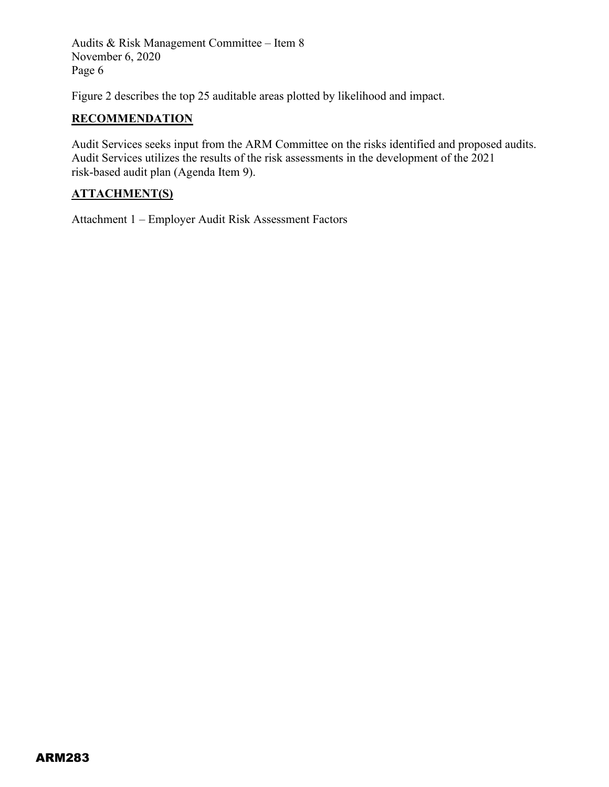Figure 2 describes the top 25 auditable areas plotted by likelihood and impact.

#### **RECOMMENDATION**

Audit Services seeks input from the ARM Committee on the risks identified and proposed audits. Audit Services utilizes the results of the risk assessments in the development of the 2021 risk-based audit plan (Agenda Item 9).

### **ATTACHMENT(S)**

Attachment 1 – Employer Audit Risk Assessment Factors